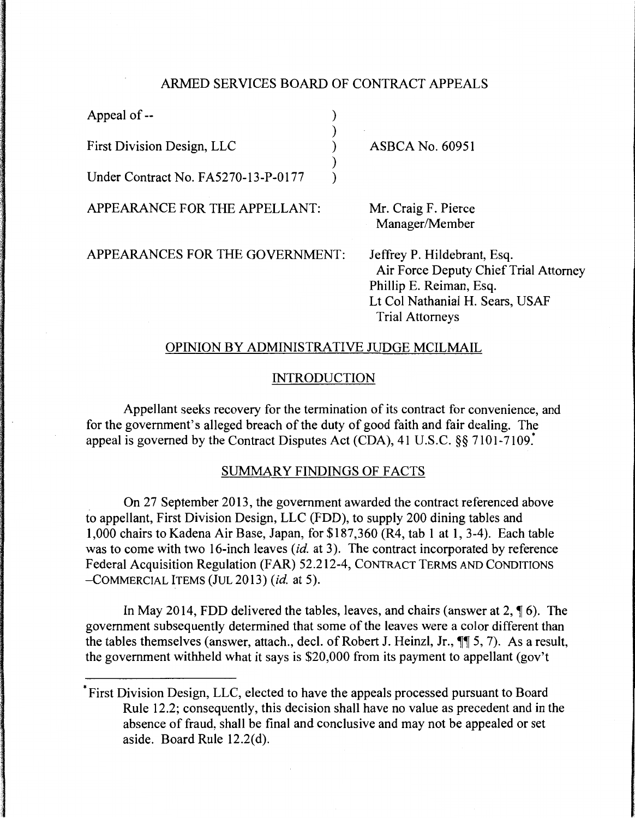#### ARMED SERVICES BOARD OF CONTRACT APPEALS

) ) ) ) )

Appeal of --

First Division Design, LLC

Under Contract No. FA5270-13-P-0177

APPEARANCE FOR THE APPELLANT:

ASBCA No. 60951

Mr. Craig F. Pierce Manager/Member

APPEARANCES FOR THE GOVERNMENT:

Jeffrey P. Hildebrant, Esq. Air Force Deputy Chief Trial Attorney Phillip E. Reiman, Esq. Lt Col Nathanial H. Sears, USAF Trial Attorneys

# OPINION BY ADMINISTRATIVE JUDGE MCILMAIL

### INTRODUCTION

Appellant seeks recovery for the termination of its contract for convenience, and for the government's alleged breach of the duty of good faith and fair dealing. The appeal is governed by the Contract Disputes Act (CDA), 41 U.S.C. §§ 7101-7109.\*

### SUMMARY FINDINGS OF FACTS

On 27 September 2013, the government awarded the contract referenced above to appellant, First Division Design, LLC (FDD), to supply 200 dining tables and 1,000 chairs to Kadena Air Base, Japan, for \$187,360 (R4, tab 1 at 1, 3-4). Each table was to come with two 16-inch leaves (id. at 3). The contract incorporated by reference Federal Acquisition Regulation (FAR) 52.212-4, CONTRACT TERMS AND CONDITIONS -COMMERCIAL ITEMS (JUL 2013) *(id.* at 5).

In May 2014, FDD delivered the tables, leaves, and chairs (answer at  $2$ ,  $\P$  6). The government subsequently determined that some of the leaves were a color different than the tables themselves (answer, attach., decl. of Robert J. Heinzl, Jr.,  $\P\P$  5, 7). As a result, the government withheld what it says is  $$20,000$  from its payment to appellant (gov't

<sup>\*</sup>First Division Design, LLC, elected to have the appeals processed pursuant to Board Rule 12.2; consequently, this decision shall have no value as precedent and in the absence of fraud, shall be final and conclusive and may not be appealed or set aside. Board Rule 12.2(d).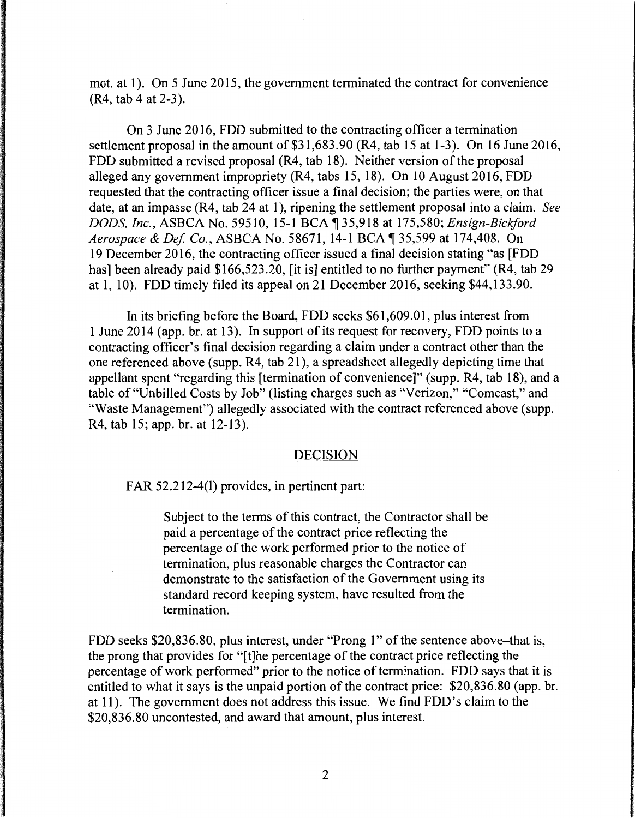mot. at 1). On 5 June 2015, the government terminated the contract for convenience (R4, tab 4 at 2-3).

On 3 June 2016, FDD submitted to the contracting officer a termination settlement proposal in the amount of \$31,683.90 (R4, tab 15 at 1-3). On 16 June 2016, FDD submitted a revised proposal (R4, tab 18). Neither version of the proposal alleged any government impropriety (R4, tabs 15, 18). On 10 August 2016, FDD requested that the contracting officer issue a final decision; the parties were, on that date, at an impasse (R4, tab 24 at 1 ), ripening the settlement proposal into a claim. *See DODS, Inc., ASBCA No.* 59510, 15-1 BCA 135,918 at 175,580; *Ensign-Bickford Aerospace & Def. Co., ASBCA No.* 58671, 14-1 BCA | 35,599 at 174,408. On 19 December 2016, the contracting officer issued a final decision stating "as [FDD has] been already paid \$166,523.20, [it is] entitled to no further payment" (R4, tab 29) at 1, 10). FDD timely filed its appeal on 21December2016, seeking \$44,133.90.

In its briefing before the Board, FDD seeks \$61,609.01, plus interest from 1June2014 (app. br. at 13). In support of its request for recovery, FDD points to a contracting officer's final decision regarding a claim under a contract other than the one referenced above (supp. R4, tab 21 ), a spreadsheet allegedly depicting time that appellant spent "regarding this [termination of convenience]" (supp. R4, tab 18), and a table of "Unbilled Costs by Job" (listing charges such as "Verizon," "Comcast," and "Waste Management") allegedly associated with the contract referenced above (supp. R4, tab 15; app. br. at 12-13).

## DECISION

FAR 52.212-4(1) provides, in pertinent part:

Subject to the terms of this contract, the Contractor shall be paid a percentage of the contract price reflecting the percentage of the work performed prior to the notice of termination, plus reasonable charges the Contractor can demonstrate to the satisfaction of the Government using its standard record keeping system, have resulted from the termination.

FDD seeks \$20,836.80, plus interest, under "Prong 1" of the sentence above-that is, the prong that provides for "[t]he percentage of the contract price reflecting the percentage of work performed" prior to the notice of termination. FDD says that it is entitled to what it says is the unpaid portion of the contract price: \$20,836.80 (app. br. at 11). The government does not address this issue. We find FDD's claim to the \$20,836.80 uncontested, and award that amount, plus interest.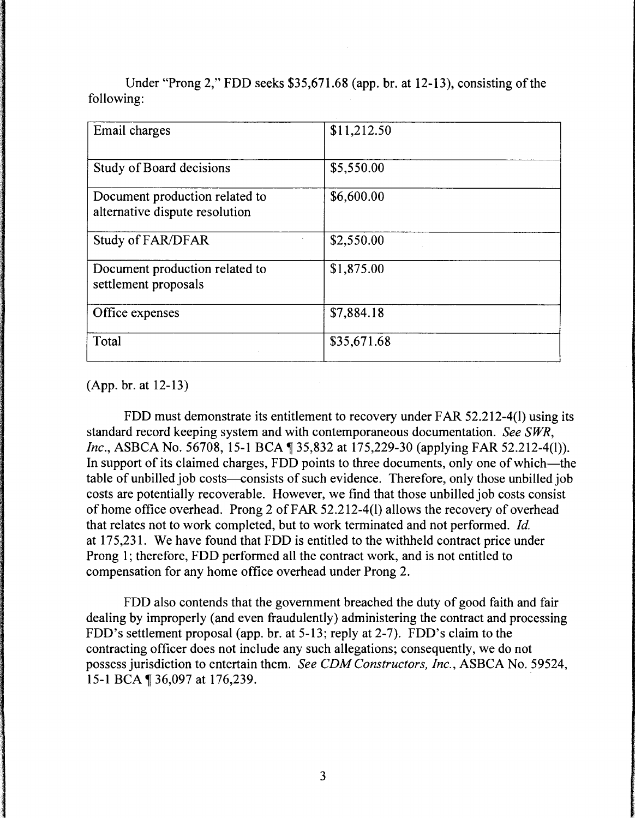| Email charges                                                    | \$11,212.50 |
|------------------------------------------------------------------|-------------|
| Study of Board decisions                                         | \$5,550.00  |
| Document production related to<br>alternative dispute resolution | \$6,600.00  |
| Study of FAR/DFAR                                                | \$2,550.00  |
| Document production related to<br>settlement proposals           | \$1,875.00  |
| Office expenses                                                  | \$7,884.18  |
| Total                                                            | \$35,671.68 |

Under "Prong 2," FDD seeks \$35,671.68 (app. br. at 12-13), consisting of the following:

(App. br. at 12-13)

FDD must demonstrate its entitlement to recovery under FAR 52.212-4(1) using its standard record keeping system and with contemporaneous documentation. *See SWR, Inc.*, ASBCA No. 56708, 15-1 BCA 135,832 at 175,229-30 (applying FAR 52.212-4(1)). In support of its claimed charges, FDD points to three documents, only one of which—the table of unbilled job costs—consists of such evidence. Therefore, only those unbilled job costs are potentially recoverable. However, we find that those unbilled job costs consist of home office overhead. Prong 2 of FAR 52.212-4(1) allows the recovery of overhead that relates not to work completed, but to work terminated and not performed. *Id.*  at 175,231. We have found that FDD is entitled to the withheld contract price under Prong 1; therefore, FDD performed all the contract work, and is not entitled to compensation for any home office overhead under Prong 2.

FDD also contends that the government breached the duty of good faith and fair dealing by improperly (and even fraudulently) administering the contract and processing FDD's settlement proposal (app. br. at 5-13; reply at 2-7). FDD's claim to the contracting officer does not include any such allegations; consequently, we do not possess jurisdiction to entertain them. *See CDM Constructors, Inc.,* ASBCA No. 59524, 15-1 BCA ¶ 36,097 at 176,239.